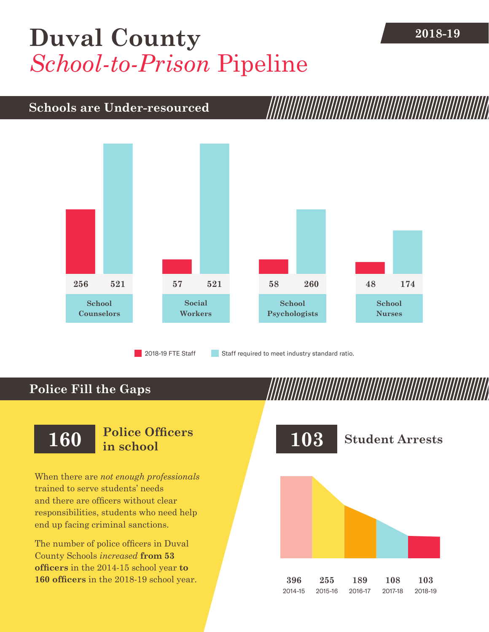## **[Duval County](DBF_County)** 2018-19 *School-to-Prison* Pipeline

### **Schools are Under-resourced**



2018-19 FTE Staff **Staff required to meet industry standard ratio.** 

## **Police Fill the Gaps**

When there are *not enough professionals* trained to serve students' needs and there are officers without clear responsibilities, students who need help end up facing criminal sanctions.

The number of police officers in [Duval](DBF_County)  [County](DBF_County) Schools *increased* **from [53](DBF_PO1415)  officers** in the 2014-15 school year **to [160](DBF_PO) officers** in the 2018-19 school year.